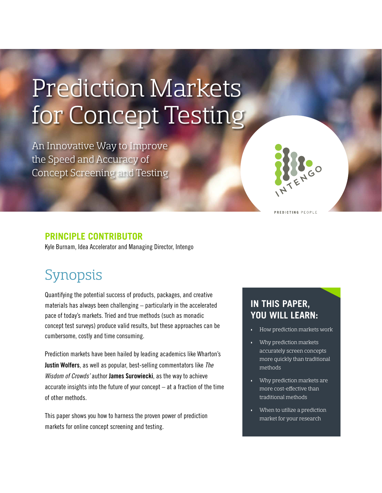# Prediction Markets for Concept Testing

An Innovative Way to Improve the Speed and Accuracy of Concept Screening and Testing

#### **PREDICTING PEOPLE**

#### **PRINCIPLE CONTRIBUTOR**

Kyle Burnam, Idea Accelerator and Managing Director, Intengo

# Synopsis

Quantifying the potential success of products, packages, and creative materials has always been challenging – particularly in the accelerated pace of today's markets. Tried and true methods (such as monadic concept test surveys) produce valid results, but these approaches can be cumbersome, costly and time consuming.

Prediction markets have been hailed by leading academics like Wharton's **Justin Wolfers**, as well as popular, best-selling commentators like *The Wisdom of Crowds'* author **James Surowiecki**, as the way to achieve accurate insights into the future of your concept  $-$  at a fraction of the time of other methods.

This paper shows you how to harness the proven power of prediction markets for online concept screening and testing.

### **IN THIS PAPER, YOU WILL LEARN:**

- How prediction markets work
- Why prediction markets accurately screen concepts more quickly than traditional methods
- Why prediction markets are more cost-effective than traditional methods
- When to utilize a prediction market for your research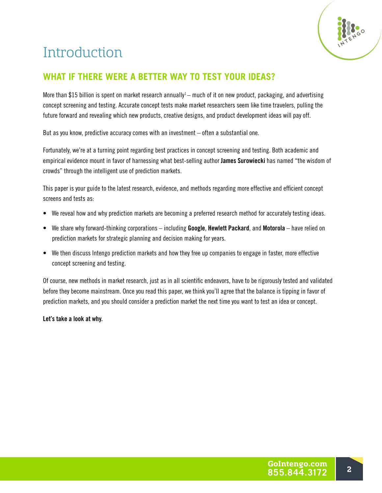

# **Introduction**

# **WHAT IF THERE WERE A BETTER WAY TO TEST YOUR IDEAS?**

More than \$15 billion is spent on market research annually<sup>1</sup> – much of it on new product, packaging, and advertising concept screening and testing. Accurate concept tests make market researchers seem like time travelers, pulling the future forward and revealing which new products, creative designs, and product development ideas will pay off.

But as you know, predictive accuracy comes with an investment – often a substantial one.

Fortunately, we're at a turning point regarding best practices in concept screening and testing. Both academic and empirical evidence mount in favor of harnessing what best-selling author **James Surowiecki** has named "the wisdom of crowds" through the intelligent use of prediction markets.

This paper is your guide to the latest research, evidence, and methods regarding more effective and efficient concept screens and tests as:

- We reveal how and why prediction markets are becoming a preferred research method for accurately testing ideas.
- We share why forward-thinking corporations including **Google**, **Hewlett Packard**, and **Motorola** have relied on prediction markets for strategic planning and decision making for years.
- We then discuss Intengo prediction markets and how they free up companies to engage in faster, more effective concept screening and testing.

Of course, new methods in market research, just as in all scientific endeavors, have to be rigorously tested and validated before they become mainstream. Once you read this paper, we think you'll agree that the balance is tipping in favor of prediction markets, and you should consider a prediction market the next time you want to test an idea or concept.

**Let's take a look at why.**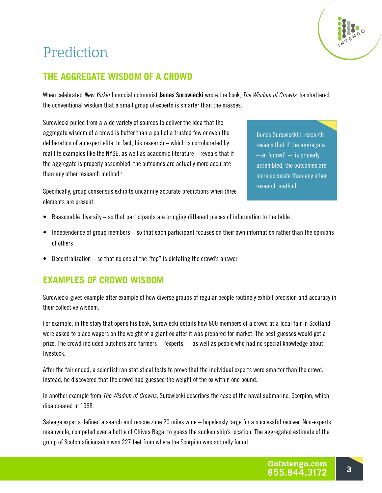# Prediction



When celebrated *New Yorker* financial columnist **James Surowiecki** wrote the book, *The Wisdom of Crowds*, he shattered the conventional wisdom that a small group of experts is smarter than the masses.

Surowiecki pulled from a wide variety of sources to deliver the idea that the aggregate wisdom of a crowd is better than a poll of a trusted few or even the deliberation of an expert elite. In fact, his research – which is corroborated by real life examples like the NYSE, as well as academic literature – reveals that if the aggregate is properly assembled, the outcomes are actually more accurate than any other research method.<sup>2</sup>

James Surowiecki's research reveals that if the aggregate  $-$  or "crowd"  $-$  is properly assembled, the outcomes are more accurate than any other research method

Specifically, group consensus exhibits uncannily accurate predictions when three elements are present:

- Reasonable diversity so that participants are bringing different pieces of information to the table
- Independence of group members so that each participant focuses on their own information rather than the opinions of others
- Decentralization so that no one at the "top" is dictating the crowd's answer

#### **EXAMPLES OF CROWD WISDOM**

Surowiecki gives example after example of how diverse groups of regular people routinely exhibit precision and accuracy in their collective wisdom.

For example, in the story that opens his book, Surowiecki details how 800 members of a crowd at a local fair in Scotland were asked to place wagers on the weight of a giant ox after it was prepared for market. The best guesses would get a prize. The crowd included butchers and farmers – "experts" – as well as people who had no special knowledge about livestock.

After the fair ended, a scientist ran statistical tests to prove that the individual experts were smarter than the crowd. Instead, he discovered that the crowd had guessed the weight of the ox within one pound.

In another example from *The Wisdom of Crowds*, Surowiecki describes the case of the naval submarine, Scorpion, which disappeared in 1968.

Salvage experts defined a search and rescue zone 20 miles wide – hopelessly large for a successful recover. Non-experts, meanwhile, competed over a bottle of Chivas Regal to guess the sunken ship's location. The aggregated estimate of the group of Scotch aficionados was 227 feet from where the Scorpion was actually found.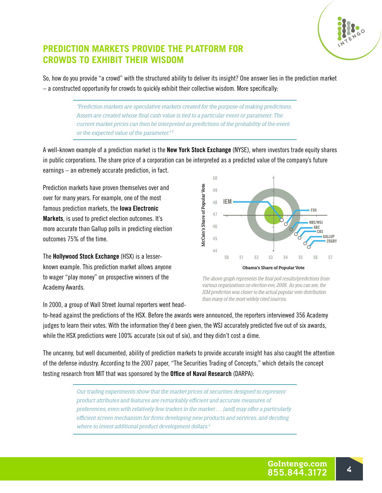

### **PREDICTION MARKETS PROVIDE THE PLATFORM FOR CROWDS TO EXHIBIT THEIR WISDOM**

So, how do you provide "a crowd" with the structured ability to deliver its insight? One answer lies in the prediction market – a constructed opportunity for crowds to quickly exhibit their collective wisdom. More specifically:

> *"Prediction markets are speculative markets created for the purpose of making predictions. Assets are created whose final cash value is tied to a particular event or parameter. The current market prices can then be interpreted as predictions of the probability of the event or the expected value of the parameter." 3*

A well-known example of a prediction market is the **New York Stock Exchange** (NYSE), where investors trade equity shares in public corporations. The share price of a corporation can be interpreted as a predicted value of the company's future earnings – an extremely accurate prediction, in fact.

Prediction markets have proven themselves over and over for many years. For example, one of the most famous prediction markets, the **Iowa Electronic Markets**, is used to predict election outcomes. It's more accurate than Gallup polls in predicting election outcomes 75% of the time.

The **Hollywood Stock Exchange** (HSX) is a lesserknown example. This prediction market allows anyone to wager "play money" on prospective winners of the Academy Awards.

**50** McCain's Share of Popular Vote McCain's Share of Popular Vote **49 48 IEM FOX 47 NBC/WSJ 46 ABC CBS GALLUP 45 ZOGBY 44 50 51 52 53 54 55 56 57** Obama's Share of Popular Vote

*The above graph represents the final poll results/predictions from various organizations on election eve, 2008. As you can see, the IEM prediction was closer to the actual popular vote distribution than many of the most widely cited sources.*

In 2000, a group of Wall Street Journal reporters went head-

to-head against the predictions of the HSX. Before the awards were announced, the reporters interviewed 356 Academy judges to learn their votes. With the information they'd been given, the WSJ accurately predicted five out of six awards, while the HSX predictions were 100% accurate (six out of six), and they didn't cost a dime.

The uncanny, but well documented, ability of prediction markets to provide accurate insight has also caught the attention of the defense industry. According to the 2007 paper, "The Securities Trading of Concepts," which details the concept testing research from MIT that was sponsored by the **Office of Naval Research** (DARPA):

> *Our trading experiments show that the market prices of securities designed to represent product attributes and features are remarkably efficient and accurate measures of preferences, even with relatively few traders in the market . . . [and] may offer a particularly efficient screen mechanism for firms developing new products and services, and deciding where to invest additional product development dollars.4*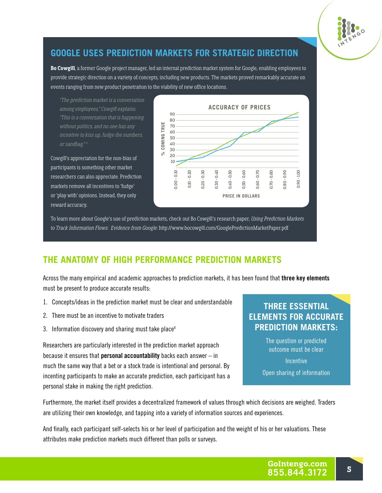

## **GOOGLE USES PREDICTION MARKETS FOR STRATEGIC DIRECTION**

**Bo Cowgill**, a former Google project manager, led an internal prediction market system for Google, enabling employees to provide strategic direction on a variety of concepts, including new products. The markets proved remarkably accurate on events ranging from new product penetration to the viability of new office locations.

*"The prediction market is a conversation among employees," Cowgill explains. "This is a conversation that is happening without politics, and no one has any incentive to kiss up, fudge the numbers, or sandbag." 4*

Cowgill's appreciation for the non-bias of participants is something other market researchers can also appreciate. Prediction markets remove all incentives to 'fudge' or 'play with' opinions. Instead, they only reward accuracy.



To learn more about Google's use of prediction markets, check out Bo Cowgill's research paper, *Using Prediction Markets to Track Information Flows: Evidence from Google*: http://www.bocowgill.com/GooglePredictionMarketPaper.pdf

### **THE ANATOMY OF HIGH PERFORMANCE PREDICTION MARKETS**

Across the many empirical and academic approaches to prediction markets, it has been found that **three key elements** must be present to produce accurate results:

- 1. Concepts/ideas in the prediction market must be clear and understandable
- 2. There must be an incentive to motivate traders
- 3. Information discovery and sharing must take place<sup>4</sup>

Researchers are particularly interested in the prediction market approach because it ensures that **personal accountability** backs each answer – in much the same way that a bet or a stock trade is intentional and personal. By incenting participants to make an accurate prediction, each participant has a personal stake in making the right prediction.

#### **THREE ESSENTIAL ELEMENTS FOR ACCURATE PREDICTION MARKETS:**

The question or predicted outcome must be clear

**Incentive** 

Open sharing of information

Furthermore, the market itself provides a decentralized framework of values through which decisions are weighed. Traders are utilizing their own knowledge, and tapping into a variety of information sources and experiences.

And finally, each participant self-selects his or her level of participation and the weight of his or her valuations. These attributes make prediction markets much different than polls or surveys.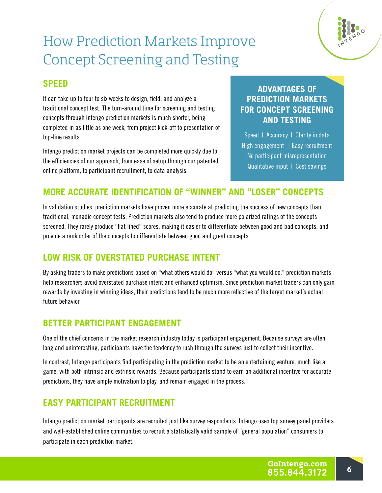# How Prediction Markets Improve Concept Screening and Testing



It can take up to four to six weeks to design, field, and analyze a traditional concept test. The turn-around time for screening and testing concepts through Intengo prediction markets is much shorter, being completed in as little as one week, from project kick-off to presentation of top-line results.

Intengo prediction market projects can be completed more quickly due to the efficiencies of our approach, from ease of setup through our patented online platform, to participant recruitment, to data analysis.

### **ADVANTAGES OF PREDICTION MARKETS FOR CONCEPT SCREENING AND TESTING**

Speed | Accuracy | Clarity in data High engagement | Easy recruitment No participant misrepresentation Qualitative input | Cost savings

# **MORE ACCURATE IDENTIFICATION OF "WINNER" AND "LOSER" CONCEPTS**

In validation studies, prediction markets have proven more accurate at predicting the success of new concepts than traditional, monadic concept tests. Prediction markets also tend to produce more polarized ratings of the concepts screened. They rarely produce "flat lined" scores, making it easier to differentiate between good and bad concepts, and provide a rank order of the concepts to differentiate between good and great concepts.

### **LOW RISK OF OVERSTATED PURCHASE INTENT**

By asking traders to make predictions based on "what others would do" versus "what you would do," prediction markets help researchers avoid overstated purchase intent and enhanced optimism. Since prediction market traders can only gain rewards by investing in winning ideas, their predictions tend to be much more reflective of the target market's actual future behavior.

### **BETTER PARTICIPANT ENGAGEMENT**

One of the chief concerns in the market research industry today is participant engagement. Because surveys are often long and uninteresting, participants have the tendency to rush through the surveys just to collect their incentive.

In contrast, Intengo participants find participating in the prediction market to be an entertaining venture, much like a game, with both intrinsic and extrinsic rewards. Because participants stand to earn an additional incentive for accurate predictions, they have ample motivation to play, and remain engaged in the process.

### **EASY PARTICIPANT RECRUITMENT**

Intengo prediction market participants are recruited just like survey respondents. Intengo uses top survey panel providers and well-established online communities to recruit a statistically valid sample of "general population" consumers to participate in each prediction market.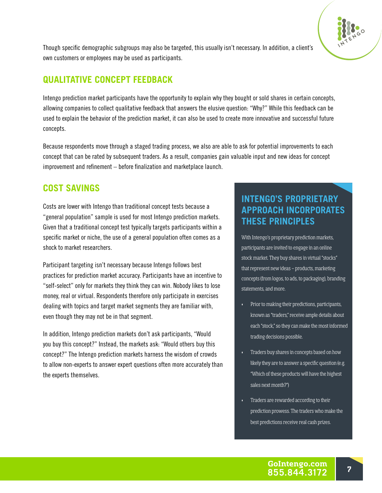Though specific demographic subgroups may also be targeted, this usually isn't necessary. In addition, a client's own customers or employees may be used as participants.

### **QUALITATIVE CONCEPT FEEDBACK**

Intengo prediction market participants have the opportunity to explain why they bought or sold shares in certain concepts, allowing companies to collect qualitative feedback that answers the elusive question: "Why?" While this feedback can be used to explain the behavior of the prediction market, it can also be used to create more innovative and successful future concepts.

Because respondents move through a staged trading process, we also are able to ask for potential improvements to each concept that can be rated by subsequent traders. As a result, companies gain valuable input and new ideas for concept improvement and refinement – before finalization and marketplace launch.

# **COST SAVINGS**

Costs are lower with Intengo than traditional concept tests because a "general population" sample is used for most Intengo prediction markets. Given that a traditional concept test typically targets participants within a specific market or niche, the use of a general population often comes as a shock to market researchers.

Participant targeting isn't necessary because Intengo follows best practices for prediction market accuracy. Participants have an incentive to "self-select" only for markets they think they can win. Nobody likes to lose money, real or virtual. Respondents therefore only participate in exercises dealing with topics and target market segments they are familiar with, even though they may not be in that segment.

In addition, Intengo prediction markets don't ask participants, "Would you buy this concept?" Instead, the markets ask: "Would others buy this concept?" The Intengo prediction markets harness the wisdom of crowds to allow non-experts to answer expert questions often more accurately than the experts themselves.

## **INTENGO'S PROPRIETARY APPROACH INCORPORATES THESE PRINCIPLES**

With Intengo's proprietary prediction markets, participants are invited to engage in an online stock market. They buy shares in virtual "stocks" that represent new ideas – products, marketing concepts (from logos, to ads, to packaging), branding statements, and more.

- Prior to making their predictions, participants, known as "traders," receive ample details about each "stock," so they can make the most informed trading decisions possible.
- Traders buy shares in concepts based on how likely they are to answer a specific question (e.g. "Which of these products will have the highest sales next month?")
- Traders are rewarded according to their prediction prowess. The traders who make the best predictions receive real cash prizes.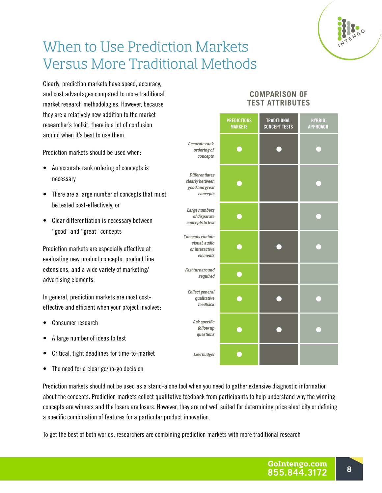

# When to Use Prediction Markets Versus More Traditional Methods

Clearly, prediction markets have speed, accuracy, and cost advantages compared to more traditional market research methodologies. However, because they are a relatively new addition to the market researcher's toolkit, there is a lot of confusion around when it's best to use them.

Prediction markets should be used when:

- An accurate rank ordering of concepts is necessary
- There are a large number of concepts that must be tested cost-effectively, or
- Clear differentiation is necessary between "good" and "great" concepts

Prediction markets are especially effective at evaluating new product concepts, product line extensions, and a wide variety of marketing/ advertising elements.

In general, prediction markets are most costeffective and efficient when your project involves:

- Consumer research
- A large number of ideas to test
- Critical, tight deadlines for time-to-market
- The need for a clear go/no-go decision

Prediction markets should not be used as a stand-alone tool when you need to gather extensive diagnostic information about the concepts. Prediction markets collect qualitative feedback from participants to help understand why the winning concepts are winners and the losers are losers. However, they are not well suited for determining price elasticity or defining a specific combination of features for a particular product innovation.

To get the best of both worlds, researchers are combining prediction markets with more traditional research

#### **COMPARISON OF TEST ATTRIBUTES**

|                                                                        | <b>PREDICTIONS</b><br><b>MARKETS</b> | <b>TRADITIONAL</b><br><b>CONCEPT TESTS</b> | <b>HYBRID</b><br><b>APPROACH</b> |
|------------------------------------------------------------------------|--------------------------------------|--------------------------------------------|----------------------------------|
| Accurate rank<br>ordering of<br>concepts                               |                                      |                                            |                                  |
| <b>Differentiates</b><br>clearly between<br>good and great<br>concepts |                                      |                                            |                                  |
| Large numbers<br>of disparate<br>concepts to test                      |                                      |                                            |                                  |
| Concepts contain<br>visual, audio<br>or interactive<br>elements        |                                      |                                            |                                  |
| Fast turnaround<br>required                                            |                                      |                                            |                                  |
| Collect general<br>qualitative<br>feedback                             |                                      |                                            |                                  |
| Ask specific<br>follow up<br>questions                                 |                                      |                                            |                                  |
| Low budget                                                             |                                      |                                            |                                  |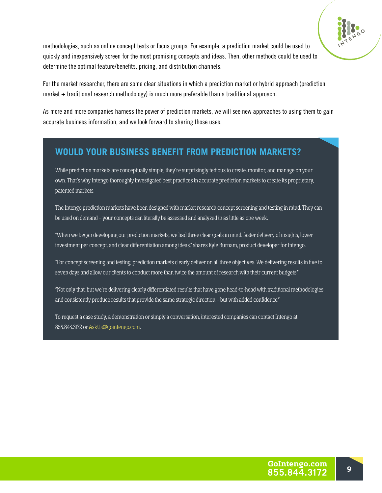

methodologies, such as online concept tests or focus groups. For example, a prediction market could be used to quickly and inexpensively screen for the most promising concepts and ideas. Then, other methods could be used to determine the optimal feature/benefits, pricing, and distribution channels.

For the market researcher, there are some clear situations in which a prediction market or hybrid approach (prediction market  $+$  traditional research methodology) is much more preferable than a traditional approach.

As more and more companies harness the power of prediction markets, we will see new approaches to using them to gain accurate business information, and we look forward to sharing those uses.

#### **WOULD YOUR BUSINESS BENEFIT FROM PREDICTION MARKETS?**

While prediction markets are conceptually simple, they're surprisingly tedious to create, monitor, and manage on your own. That's why Intengo thoroughly investigated best practices in accurate prediction markets to create its proprietary, patented markets.

The Intengo prediction markets have been designed with market research concept screening and testing in mind. They can be used on demand – your concepts can literally be assessed and analyzed in as little as one week.

"When we began developing our prediction markets, we had three clear goals in mind: faster delivery of insights, lower investment per concept, and clear differentiation among ideas," shares Kyle Burnam, product developer for Intengo.

"For concept screening and testing, prediction markets clearly deliver on all three objectives. We delivering results in five to seven days and allow our clients to conduct more than twice the amount of research with their current budgets."

"Not only that, but we're delivering clearly differentiated results that have gone head-to-head with traditional methodologies and consistently produce results that provide the same strategic direction – but with added confidence."

To request a case study, a demonstration or simply a conversation, interested companies can contact Intengo at 855.844.3172 or AskUs@gointengo.com.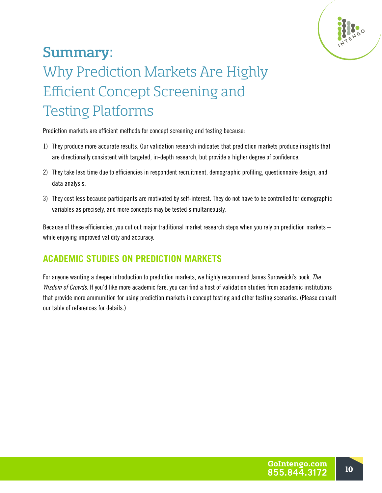

# Summary: Why Prediction Markets Are Highly Efficient Concept Screening and Testing Platforms

Prediction markets are efficient methods for concept screening and testing because:

- 1) They produce more accurate results. Our validation research indicates that prediction markets produce insights that are directionally consistent with targeted, in-depth research, but provide a higher degree of confidence.
- 2) They take less time due to efficiencies in respondent recruitment, demographic profiling, questionnaire design, and data analysis.
- 3) They cost less because participants are motivated by self-interest. They do not have to be controlled for demographic variables as precisely, and more concepts may be tested simultaneously.

Because of these efficiencies, you cut out major traditional market research steps when you rely on prediction markets – while enjoying improved validity and accuracy.

# **ACADEMIC STUDIES ON PREDICTION MARKETS**

For anyone wanting a deeper introduction to prediction markets, we highly recommend James Suroweicki's book, *The Wisdom of Crowds*. If you'd like more academic fare, you can find a host of validation studies from academic institutions that provide more ammunition for using prediction markets in concept testing and other testing scenarios. (Please consult our table of references for details.)